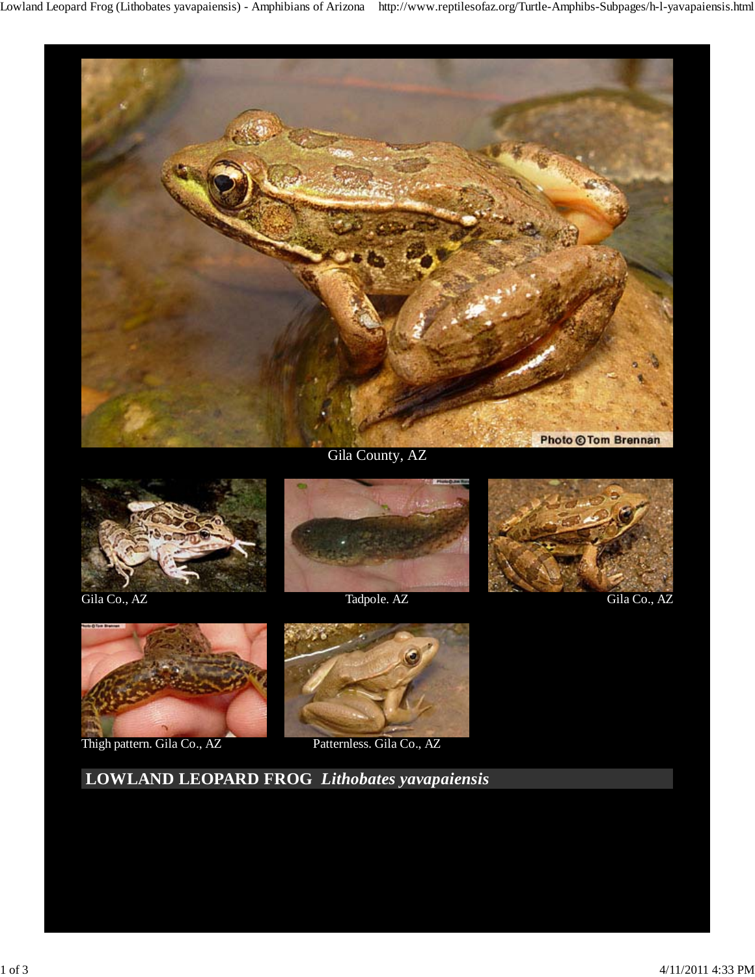

Gila County, AZ









Thigh pattern. Gila Co., AZ Patternless. Gila Co., AZ



 **LOWLAND LEOPARD FROG** *Lithobates yavapaiensis*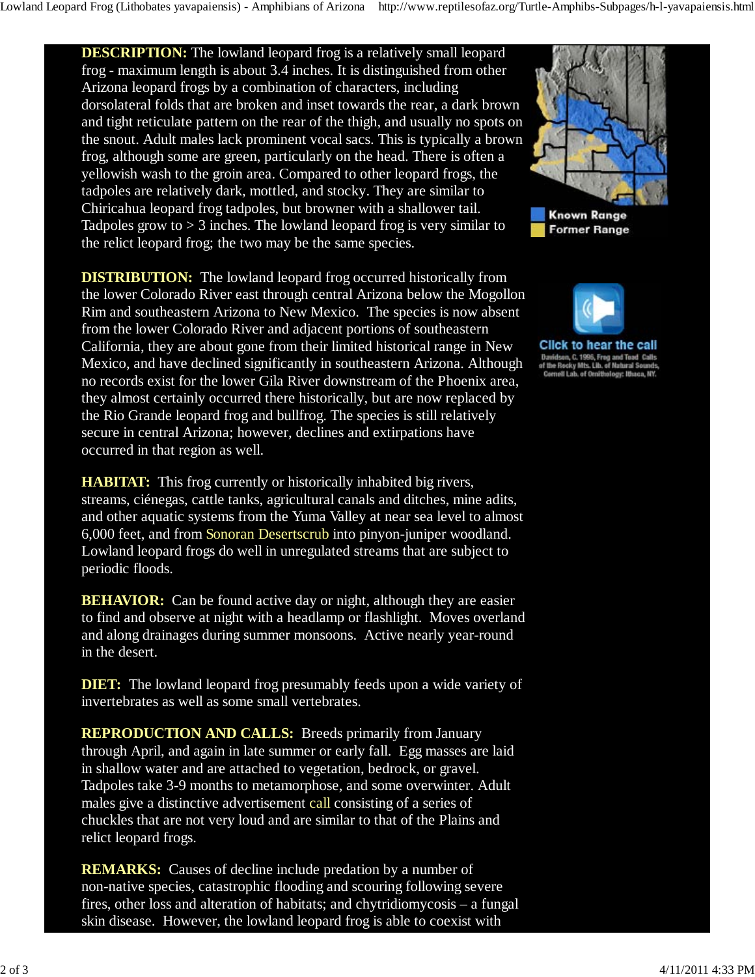**DESCRIPTION:** The lowland leopard frog is a relatively small leopard frog - maximum length is about 3.4 inches. It is distinguished from other Arizona leopard frogs by a combination of characters, including dorsolateral folds that are broken and inset towards the rear, a dark brown and tight reticulate pattern on the rear of the thigh, and usually no spots on the snout. Adult males lack prominent vocal sacs. This is typically a brown frog, although some are green, particularly on the head. There is often a yellowish wash to the groin area. Compared to other leopard frogs, the tadpoles are relatively dark, mottled, and stocky. They are similar to Chiricahua leopard frog tadpoles, but browner with a shallower tail. Tadpoles grow to  $> 3$  inches. The lowland leopard frog is very similar to the relict leopard frog; the two may be the same species.

**DISTRIBUTION:** The lowland leopard frog occurred historically from the lower Colorado River east through central Arizona below the Mogollon Rim and southeastern Arizona to New Mexico. The species is now absent from the lower Colorado River and adjacent portions of southeastern California, they are about gone from their limited historical range in New Mexico, and have declined significantly in southeastern Arizona. Although no records exist for the lower Gila River downstream of the Phoenix area, they almost certainly occurred there historically, but are now replaced by the Rio Grande leopard frog and bullfrog. The species is still relatively secure in central Arizona; however, declines and extirpations have occurred in that region as well.

**HABITAT:** This frog currently or historically inhabited big rivers, streams, ciénegas, cattle tanks, agricultural canals and ditches, mine adits, and other aquatic systems from the Yuma Valley at near sea level to almost 6,000 feet, and from Sonoran Desertscrub into pinyon-juniper woodland. Lowland leopard frogs do well in unregulated streams that are subject to periodic floods.

**BEHAVIOR:** Can be found active day or night, although they are easier to find and observe at night with a headlamp or flashlight. Moves overland and along drainages during summer monsoons. Active nearly year-round in the desert.

**DIET:** The lowland leopard frog presumably feeds upon a wide variety of invertebrates as well as some small vertebrates.

**REPRODUCTION AND CALLS:** Breeds primarily from January through April, and again in late summer or early fall. Egg masses are laid in shallow water and are attached to vegetation, bedrock, or gravel. Tadpoles take 3-9 months to metamorphose, and some overwinter. Adult males give a distinctive advertisement call consisting of a series of chuckles that are not very loud and are similar to that of the Plains and relict leopard frogs.

**REMARKS:** Causes of decline include predation by a number of non-native species, catastrophic flooding and scouring following severe fires, other loss and alteration of habitats; and chytridiomycosis – a fungal skin disease. However, the lowland leopard frog is able to coexist with



**Known Range Former Range** 



**Click to hear the call** Davidson, C. 1996, Frog and Toad Calls<br>of the Rocky Mts. Lib. of Natural Sounds Cornell Lab. of Ornithology: Ithaca, NY.